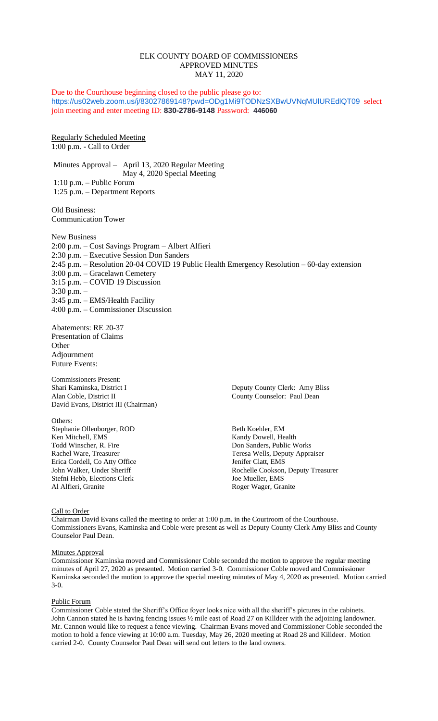# ELK COUNTY BOARD OF COMMISSIONERS APPROVED MINUTES MAY 11, 2020

Due to the Courthouse beginning closed to the public please go to: <https://us02web.zoom.us/j/83027869148?pwd=ODg1Mi9TODNzSXBwUVNqMUlUREdlQT09> select join meeting and enter meeting ID: **830-2786-9148** Password: **446060**

Regularly Scheduled Meeting 1:00 p.m. - Call to Order

Minutes Approval – April 13, 2020 Regular Meeting May 4, 2020 Special Meeting 1:10 p.m. – Public Forum 1:25 p.m. – Department Reports

Old Business: Communication Tower

New Business 2:00 p.m. – Cost Savings Program – Albert Alfieri 2:30 p.m. – Executive Session Don Sanders 2:45 p.m. – Resolution 20-04 COVID 19 Public Health Emergency Resolution – 60-day extension 3:00 p.m. – Gracelawn Cemetery 3:15 p.m. – COVID 19 Discussion 3:30 p.m. – 3:45 p.m. – EMS/Health Facility 4:00 p.m. – Commissioner Discussion

Abatements: RE 20-37 Presentation of Claims **Other** Adjournment Future Events:

Commissioners Present: Alan Coble, District II County Counselor: Paul Dean David Evans, District III (Chairman)

Others: Stephanie Ollenborger, ROD Beth Koehler, EM Ken Mitchell, EMS<br>
Todd Winscher, R. Fire<br>
Todd Winscher, R. Fire<br>
Todd Winscher, R. Fire<br>
Todd Winscher, R. Fire Erica Cordell, Co Atty Office Jenifer Clatt, EMS Stefni Hebb, Elections Clerk Joe Mueller, EMS

Deputy County Clerk: Amy Bliss

Don Sanders, Public Works Rachel Ware, Treasurer Teresa Wells, Deputy Appraiser John Walker, Under Sheriff Rochelle Cookson, Deputy Treasurer Roger Wager, Granite

## Call to Order

Chairman David Evans called the meeting to order at 1:00 p.m. in the Courtroom of the Courthouse. Commissioners Evans, Kaminska and Coble were present as well as Deputy County Clerk Amy Bliss and County Counselor Paul Dean.

#### Minutes Approval

Commissioner Kaminska moved and Commissioner Coble seconded the motion to approve the regular meeting minutes of April 27, 2020 as presented. Motion carried 3-0. Commissioner Coble moved and Commissioner Kaminska seconded the motion to approve the special meeting minutes of May 4, 2020 as presented. Motion carried 3-0.

## Public Forum

Commissioner Coble stated the Sheriff's Office foyer looks nice with all the sheriff's pictures in the cabinets. John Cannon stated he is having fencing issues ½ mile east of Road 27 on Killdeer with the adjoining landowner. Mr. Cannon would like to request a fence viewing. Chairman Evans moved and Commissioner Coble seconded the motion to hold a fence viewing at 10:00 a.m. Tuesday, May 26, 2020 meeting at Road 28 and Killdeer. Motion carried 2-0. County Counselor Paul Dean will send out letters to the land owners.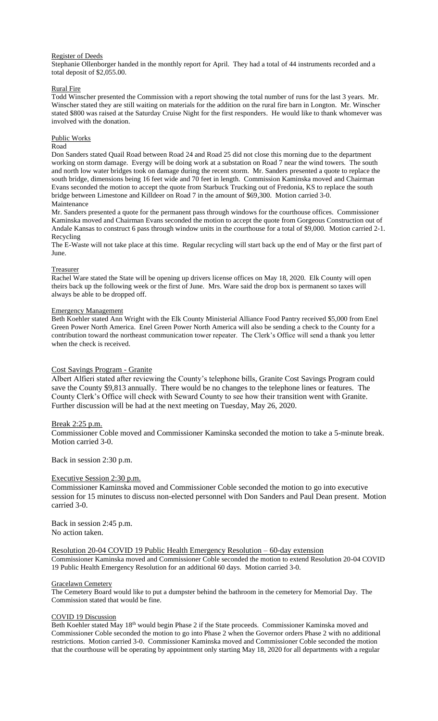# Register of Deeds

Stephanie Ollenborger handed in the monthly report for April. They had a total of 44 instruments recorded and a total deposit of \$2,055.00.

# Rural Fire

Todd Winscher presented the Commission with a report showing the total number of runs for the last 3 years. Mr. Winscher stated they are still waiting on materials for the addition on the rural fire barn in Longton. Mr. Winscher stated \$800 was raised at the Saturday Cruise Night for the first responders. He would like to thank whomever was involved with the donation.

# Public Works

# Road

Don Sanders stated Quail Road between Road 24 and Road 25 did not close this morning due to the department working on storm damage. Evergy will be doing work at a substation on Road 7 near the wind towers. The south and north low water bridges took on damage during the recent storm. Mr. Sanders presented a quote to replace the south bridge, dimensions being 16 feet wide and 70 feet in length. Commission Kaminska moved and Chairman Evans seconded the motion to accept the quote from Starbuck Trucking out of Fredonia, KS to replace the south bridge between Limestone and Killdeer on Road 7 in the amount of \$69,300. Motion carried 3-0. Maintenance

Mr. Sanders presented a quote for the permanent pass through windows for the courthouse offices. Commissioner Kaminska moved and Chairman Evans seconded the motion to accept the quote from Gorgeous Construction out of Andale Kansas to construct 6 pass through window units in the courthouse for a total of \$9,000. Motion carried 2-1. Recycling

The E-Waste will not take place at this time. Regular recycling will start back up the end of May or the first part of June.

## Treasurer

Rachel Ware stated the State will be opening up drivers license offices on May 18, 2020. Elk County will open theirs back up the following week or the first of June. Mrs. Ware said the drop box is permanent so taxes will always be able to be dropped off.

# Emergency Management

Beth Koehler stated Ann Wright with the Elk County Ministerial Alliance Food Pantry received \$5,000 from Enel Green Power North America. Enel Green Power North America will also be sending a check to the County for a contribution toward the northeast communication tower repeater. The Clerk's Office will send a thank you letter when the check is received.

## Cost Savings Program - Granite

Albert Alfieri stated after reviewing the County's telephone bills, Granite Cost Savings Program could save the County \$9,813 annually. There would be no changes to the telephone lines or features. The County Clerk's Office will check with Seward County to see how their transition went with Granite. Further discussion will be had at the next meeting on Tuesday, May 26, 2020.

# Break 2:25 p.m.

Commissioner Coble moved and Commissioner Kaminska seconded the motion to take a 5-minute break. Motion carried 3-0.

Back in session 2:30 p.m.

# Executive Session 2:30 p.m.

Commissioner Kaminska moved and Commissioner Coble seconded the motion to go into executive session for 15 minutes to discuss non-elected personnel with Don Sanders and Paul Dean present. Motion carried 3-0.

Back in session 2:45 p.m. No action taken.

## Resolution 20-04 COVID 19 Public Health Emergency Resolution – 60-day extension

Commissioner Kaminska moved and Commissioner Coble seconded the motion to extend Resolution 20-04 COVID 19 Public Health Emergency Resolution for an additional 60 days. Motion carried 3-0.

## Gracelawn Cemetery

The Cemetery Board would like to put a dumpster behind the bathroom in the cemetery for Memorial Day. The Commission stated that would be fine.

## COVID 19 Discussion

Beth Koehler stated May 18<sup>th</sup> would begin Phase 2 if the State proceeds. Commissioner Kaminska moved and Commissioner Coble seconded the motion to go into Phase 2 when the Governor orders Phase 2 with no additional restrictions. Motion carried 3-0. Commissioner Kaminska moved and Commissioner Coble seconded the motion that the courthouse will be operating by appointment only starting May 18, 2020 for all departments with a regular